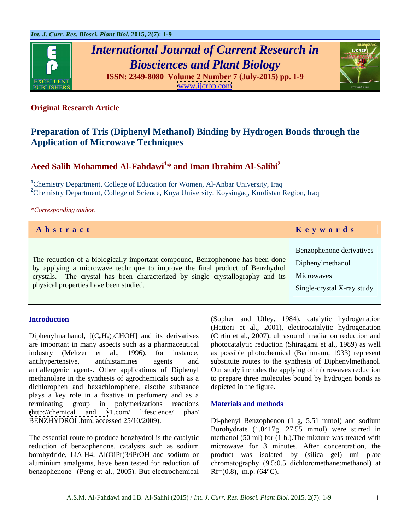

# *International Journal of Current Research in Biosciences and Plant Biology*





### **Original Research Article**

## **Preparation of Tris (Diphenyl Methanol) Binding by Hydrogen Bonds through the Application of Microwave Techniques**

# **Aeed Salih Mohammed Al-Fahdawi<sup>1</sup> \* and Iman Ibrahim Al-Salihi<sup>2</sup>**

**<sup>1</sup>**Chemistry Department, College of Education for Women, Al-Anbar University, Iraq <sup>2</sup>Chemistry Department, College of Science, Koya University, Koysingaq, Kurdistan Region, Iraq

*\*Corresponding author.*

| Benzophenone derivatives<br>The reduction of a biologically important compound, Benzophenone has been done<br>by applying a microwave technique to improve the final product of Benzhydrol Diphenylmethanol |
|-------------------------------------------------------------------------------------------------------------------------------------------------------------------------------------------------------------|
|                                                                                                                                                                                                             |
|                                                                                                                                                                                                             |
| crystals. The crystal has been characterized by single crystallography and its Microwaves                                                                                                                   |
| physical properties have been studied.<br>Single-crystal X-ray study                                                                                                                                        |

Diphenylmathanol,  $[(C_6H_5)_2CHOH]$  and its derivatives are important in many aspects such as a pharmaceutical are important in many aspects such as a pharmaceutical photocatalytic reduction (Shiragami et al., 1989) as well industry (Meltzer et al., 1996), for instance, as possible photochemical (Bachmann, 1933) represent antihypertensive, antihistamines agents and substitute routes to the synthesis of Diphenylmethanol. antiallergenic agents. Other applications of Diphenyl Our study includes the applying of microwaves reduction methanolare in the synthesis of agrochemicals such as a to prepare three molecules bound by hydrogen bonds as dichlorophen and hexachlorophene, alsothe substance plays a key role in a fixative in perfumery and as a terminating group in polymerizations reactions **Materials and methods** [\(http://chemical](http://chemical) and 21.com/ lifescience/ phar/

benzophenone (Peng et al., 2005). But electrochemical

**Introduction** (Sopher and Utley, 1984), catalytic hydrogenation (Hattori et al., 2001), electrocatalytic hydrogenation (Cirtiu et al., 2007), ultrasound irradiation reduction and depicted in the figure.

### **Materials and methods**

BENZHYDROL.htm, accessed 25/10/2009). Di-phenyl Benzophenon (1 g, 5.51 mmol) and sodium The essential route to produce benzhydrol is the catalytic methanol (50 ml) for (1 h.).The mixture was treated with reduction of benzophenone, catalysts such as sodium microwave for 3 minutes. After concentration, the borohydride, LiAlH4, Al(OiPr)3/iPrOH and sodium or product was isolated by (silica gel) uni plate aluminium amalgams, have been tested for reduction of chromatography (9.5:0.5 dichloromethane:methanol) at Borohydrate (1.0417g, 27.55 mmol) were stirred in Rf= $(0.8)$ , m.p.  $(64^{\circ}C)$ .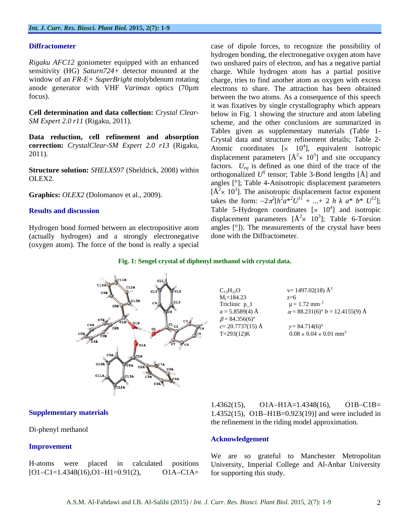**Data reduction, cell refinement and absorption correction:** *CrystalClear-SM Expert 2.0 r13* (Rigaku,

**Structure solution:** *SHELXS97* (Sheldrick, 2008) within

**Graphics:** *OLEX2* (Dolomanov et al., 2009).

Hydrogen bond formed between an electropositive atom (actually hydrogen) and a strongly electronegative (oxygen atom). The force of the bond is really a special

Diffractometer<br>
Elizabet AFC12 gonionneire equipped with an enhanced by three positions, the relections<br>gain on thus a sensitive particle entropy that the content of the content of the content of the stress<br>
sensitive par *Rigaku AFC12* goniometer equipped with an enhanced two unshared pairs of electron, and has a negative partial sensitivity (HG) *Saturn724+* detector mounted at the charge. While hydrogen atom has a partial positive window of an *FR-E+ SuperBright* molybdenum rotating charge, tries to find another atom as oxygen with excess anode generator with VHF *Varimax* optics (70µm electrons to share. The attraction has been obtained focus). between the two atoms. As a consequence of this speech **Cell determination and data collection:** *Crystal Clear-* below in Fig. 1 showing the structure and atom labeling *SM Expert 2.0 r11* (Rigaku, 2011). Scheme, and the other conclusions are summarized in 2011). displacement parameters  $[\hat{A}^2 \times 10^3]$  and site occupancy OLEX2. and outling of the state of the set of the set of the set of the set of the set of the set of the set of the set of the set of the set of the set of the set of the set of the set of the set of the set of the set of **Results and discussion** Table 5-Hydrogen coordinates [ $\times$  10<sup>4</sup>] and isotropic case of dipole forces, to recognize the possibility of hydrogen bonding, the electronegative oxygen atom have it was fixatives by single crystallography which appears Tables given as supplementary materials (Table 1- Crystal data and structure refinement details; Table 2- Atomic coordinates  $[x 10^4]$ , equivalent isotropic ], equivalent isotropic  $10<sup>3</sup>$ ] and site occupancy  $31$  and gita cogurance ] and site occupancy factors.  $U_{eq}$  is defined as one third of the trace of the orthogonalized U<sup>ij</sup> tensor; Table 3-Bond lengths [Å] and  $[\text{Å}^2 \times 10^3]$ . The anisotropic displacement factor exponent takes the form:  $-2\pi^2[h^2a^{*2}U^{11} + ... + 2 h k a^* b^* U^{12}];$  $^{2}U^{11}$  + ...+ 2 h k a<sup>\*</sup> b<sup>\*</sup> U<sup>12</sup>];  $11 + ... + 2 h k a^* b^* U^{12}$ ;  $^{12}$ ];  $^{4}$  and isotropic ] and isotropic displacement parameters  $[\text{Å}^2 \times 10^3]$ ; Table 6-Torsion  $10<sup>3</sup>$ ; Table 6-Torsion  $3<sup>1</sup>$ . Table 6 Torgian ]; Table 6-Torsion angles [°]). The measurements of the crystal have been done with the Diffractometer.

### **Fig. 1: Sengel crystal of diphenyl methanol with crystal data.**



 $C_{13}H_{12}O$  v= 1497.02(18)  $\AA^3$  $M_r = 184.23$   $z=6$ Triclinic  $p_1$   $\mu = 1.72$  mm<sup>-1</sup>  $a = 5.8589(4)$  Å  $\alpha = 88.231(6)°$  *b* = 12.4155(9) Å  $B = 84.356(6)^\circ$ *c*= 20.7737(15) Å  $\gamma$  = 84.714(6)°

Di-phenyl methanol

### **Improvement**

H-atoms were placed in calculated positions University, Imperial College and Al-Anbar University  $[O1-C1=1.4348(16), O1-H1=0.91(2),$   $O1A-C1A=$  for supporting this study.

**Supplementary materials** 1.4352(15), O1B-H1B=0.923(19)] and were included in 1.4362(15), O1A-H1A=1.4348(16), O1B-C1B= the refinement in the riding model approximation.

### **Acknowledgement**

We are so grateful to Manchester Metropolitan for supporting this study.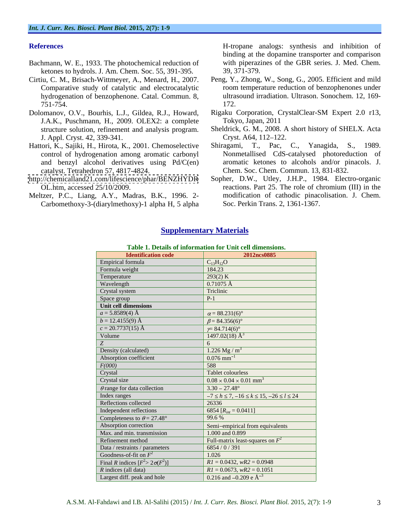- Bachmann, W. E., 1933. The photochemical reduction of ketones to hydrols. J. Am. Chem. Soc. 55, 391-395.
- Cirtiu, C. M., Brisach-Wittmeyer, A., Menard, H., 2007. hydrogenation of benzophenone. Catal. Commun. 8,
- Dolomanov, O.V., Bourhis, L.J., Gildea, R.J., Howard, J.A.K., Puschmann, H., 2009. OLEX2: a complete J. Appl. Cryst. 42, 339-341.
- control of hydrogenation among aromatic carbonyl and benzyl alcohol derivatives using Pd/C(en)
- <http://chemicalland21.com/lifescience/phar/BENZHYDR>
- Meltzer, P.C., Liang, A.Y., Madras, B.K., 1996. 2- Carbomethoxy-3-(diarylmethoxy)-1 alpha H, 5 alpha

**References** H-tropane analogs: synthesis and inhibition of binding at the dopamine transporter and comparison with piperazines of the GBR series. J. Med. Chem. 39, 371-379.

- Comparative study of catalytic and electrocatalytic room temperature reduction of benzophenones under 751-754. Peng, Y., Zhong, W., Song, G., 2005. Efficient and mild ultrasound irradiation. Ultrason. Sonochem. 12, 169- 172.
	- Rigaku Corporation, CrystalClear-SM Expert 2.0 r13, Tokyo, Japan, 2011
- structure solution, refinement and analysis program. Sheldrick, G. M., 2008. A short history of SHELX. Acta Cryst. A64, 112–122.
- Hattori, K., Sajiki, H., Hirota, K., 2001. Chemoselective Shiragami, T., Pac, C., Yanagida, S., 1989. catalyst. Tetrahedron 57, 4817-4824. Chem. Soc. Chem. Commun. 13, 831-832. Shiragami, T., Pac, C., Nonmetallised CdS-catalysed photoreduction of aromatic ketones to alcohols and/or pinacols. J.
	- OL.htm, accessed 25/10/2009. reactions. Part 25. The role of chromium (III) in the Sopher, D.W., Utley, J.H.P., 1984. Electro-organic modification of cathodic pinacolisation. J. Chem. Soc. Perkin Trans. 2, 1361-1367.

### **Supplementary Materials**

### **Table 1. Details of information for Unit cell dimensions.**

| <b>Identification code</b>                    | 2012ncs0885                                          |
|-----------------------------------------------|------------------------------------------------------|
| Empirical formula                             | $\frac{C_{13}H_{12}O}{184.23}$                       |
| Formula weight                                |                                                      |
| Temperature                                   | 293(2) K                                             |
| Wavelength                                    | $0.71075 \text{ Å}$                                  |
| Crystal system                                | Triclinic                                            |
| Space group                                   | $P-1$                                                |
| Unit cell dimensions                          |                                                      |
| $a = 5.8589(4)$ Å                             | $\alpha = 88.231(6)^{\circ}$                         |
| $b = 12.4155(9)$ Å                            | $\beta$ = 84.356(6)°                                 |
| $c = 20.7737(15)$ Å                           | $\gamma = 84.714(6)$ °                               |
| Volume                                        | $1497.02(18)$ $\AA^3$                                |
| Z                                             |                                                      |
| Density (calculated)                          | 1.226 Mg / $m^3$                                     |
| Absorption coefficient                        | $0.076$ mm <sup>-1</sup>                             |
| F(000)                                        | 588                                                  |
| Crystal                                       | Tablet colourless                                    |
| Crystal size                                  | $0.08 \times 0.04 \times 0.01$ mm <sup>3</sup>       |
| $\theta$ range for data collection            | $3.30 - 27.48^{\circ}$                               |
| Index ranges                                  | $-7 \le h \le 7, -16 \le k \le 15, -26 \le l \le 24$ |
| Reflections collected                         | 26336                                                |
| Independent reflections                       | 6854 $[R_{int} = 0.0411]$                            |
| Completeness to $\theta = 27.48^{\circ}$      | 99.6 %                                               |
| Absorption correction                         | Semi-empirical from equivalents                      |
| Max. and min. transmission                    | 1.000 and 0.899                                      |
| Refinement method                             | Full-matrix least-squares on $F^2$                   |
| Data / restraints / parameters                | 6854/0/391                                           |
| Goodness-of-fit on $F^2$                      | 1.026                                                |
| Final <i>R</i> indices $[F^2 > 2\sigma(F^2)]$ | $RI = 0.0432$ , $wR2 = 0.0948$                       |
| $R$ indices (all data)                        | $RI = 0.0673$ , $wR2 = 0.1051$                       |
| Largest diff. peak and hole                   | 0.216 and $-0.209$ e $\rm{\AA}^{-3}$                 |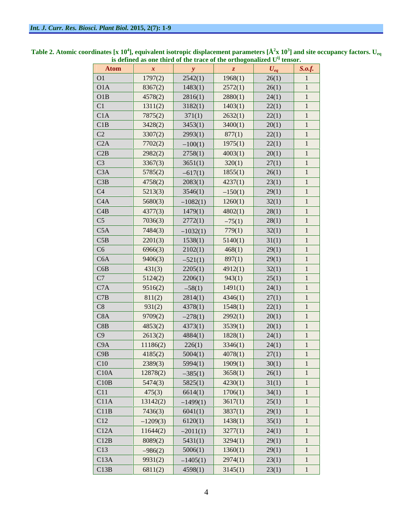|                           |                  |              |             | to accure as one min a or me mace or me or mogenumeca e - remort |                  |
|---------------------------|------------------|--------------|-------------|------------------------------------------------------------------|------------------|
| <b>Atom</b>               | $\boldsymbol{x}$ | $\mathbf{v}$ | $Z_{\rm c}$ | $U_{eq}$                                                         | S.o.f.           |
| $\overline{O1}$           | 1797(2)          | 2542(1)      | 1968(1)     | 26(1)                                                            |                  |
| O1A                       | 8367(2)          | 1483(1)      | 2572(1)     | 26(1)                                                            |                  |
| O1B                       | 4578(2)          | 2816(1)      | 2880(1)     | 24(1)                                                            |                  |
| C1                        | 1311(2)          | 3182(1)      | 1403(1)     | 22(1)                                                            |                  |
| CLA                       | 7875(2)          | 371(1)       | 2632(1)     | 22(1)                                                            | $\mathbf{1}$     |
| CIB                       | 3428(2)          | 3453(1)      | 3400(1)     | 20(1)                                                            |                  |
| C2                        | 3307(2)          | 2993(1)      | 877(1)      | 22(1)                                                            | -1               |
| C2A                       | 7702(2)          | $-100(1)$    | 1975(1)     | 22(1)                                                            |                  |
| $\overline{C2B}$          | 2982(2)          | 2758(1)      | 4003(1)     | 20(1)                                                            |                  |
| C3                        | 3367(3)          | 3651(1)      | 320(1)      | 27(1)                                                            |                  |
| $\overline{\text{C3A}}$   | 5785(2)          | $-617(1)$    | 1855(1)     | 26(1)                                                            | $\mathbf{1}$     |
| $\overline{C3B}$          | 4758(2)          | 2083(1)      | 4237(1)     | 23(1)                                                            |                  |
| C4                        | 5213(3)          | 3546(1)      | $-150(1)$   | 29(1)                                                            |                  |
| $\overline{C4A}$          | 5680(3)          | $-1082(1)$   | 1260(1)     | 32(1)                                                            |                  |
| $\overline{C4B}$          | 4377(3)          | 1479(1)      | 4802(1)     | 28(1)                                                            |                  |
| C5                        | 7036(3)          | 2772(1)      | $-75(1)$    | 28(1)                                                            | 1                |
| $\overline{C5A}$          | 7484(3)          | $-1032(1)$   | 779(1)      | 32(1)                                                            |                  |
| $\overline{C5B}$          | 2201(3)          | 1538(1)      | 5140(1)     | 31(1)                                                            |                  |
| $\underline{C6}$          | 6966(3)          | 2102(1)      | 468(1)      | 29(1)                                                            |                  |
| CGA                       | 9406(3)          | $-521(1)$    | 897(1)      | 29(1)                                                            | $\mathbf{1}$     |
| $\overline{C6B}$          | 431(3)           | 2205(1)      | 4912(1)     | 32(1)                                                            | $\left  \right $ |
| C7                        | 5124(2)          | 2206(1)      | 943(1)      | 25(1)                                                            |                  |
| C7A                       | 9516(2)          | $-58(1)$     | 1491(1)     | 24(1)                                                            |                  |
| $\overline{C7B}$          | 811(2)           | 2814(1)      | 4346(1)     | 27(1)                                                            |                  |
| $\overline{C8}$           | 931(2)           | 4378(1)      | 1548(1)     | 22(1)                                                            | -1               |
| $\overline{\text{C8A}}$   | 9709(2)          | $-278(1)$    | 2992(1)     | 20(1)                                                            |                  |
| $\vert$ C <sub>8</sub> B  | 4853(2)          | 4373(1)      | 3539(1)     | 20(1)                                                            |                  |
| C9                        | 2613(2)          | 4884(1)      | 1828(1)     | 24(1)                                                            |                  |
| $\overline{C9A}$          | 11186(2)         | 226(1)       | 3346(1)     | 24(1)                                                            | $\mathbf{1}$     |
| $\overline{C9B}$          | 4185(2)          | 5004(1)      | 4078(1)     | 27(1)                                                            | 1                |
| $\boxed{\text{C10}}$      |                  |              |             | 2389(3) 5994(1) 1909(1) 30(1) 1                                  |                  |
| $\vert$ C <sub>10</sub> A | 12878(2)         | $-385(1)$    | 3658(1)     | 26(1)                                                            |                  |
| $\vert$ C <sub>10</sub> B | 5474(3)          | 5825(1)      | 4230(1)     | 31(1)                                                            | $\mathbf{1}$     |
| C11                       | 475(3)           | 6614(1)      | 1706(1)     | 34(1)                                                            | $\mathbf{1}$     |
| CI1A                      | 13142(2)         | $-1499(1)$   | 3617(1)     | 25(1)                                                            | $\vert$          |
| $ $ C <sub>11B</sub>      | 7436(3)          | 6041(1)      | 3837(1)     | 29(1)                                                            | 1                |
| C <sub>12</sub>           | $-1209(3)$       | 6120(1)      | 1438(1)     | 35(1)                                                            | $\mathbf{1}$     |
| CI2A                      | 11644(2)         | $-2011(1)$   | 3277(1)     | 24(1)                                                            | $\mathbf{1}$     |
| CI2B                      | 8089(2)          | 5431(1)      | 3294(1)     | 29(1)                                                            |                  |
| C <sub>13</sub>           | $-986(2)$        | 5006(1)      | 1360(1)     | 29(1)                                                            | $\mathbf{1}$     |
| CI3A                      |                  |              |             | 23(1)                                                            |                  |
| CI3B                      | 9931(2)          | $-1405(1)$   | 2974(1)     |                                                                  |                  |
|                           | 6811(2)          | 4598(1)      | 3145(1)     | 23(1)                                                            |                  |

**Table 2. Atomic coordinates [x 10<sup>4</sup> ], equivalent isotropic displacement parameters [Å<sup>2</sup> x 10<sup>3</sup> ] and site occupancy factors. Ueq is defined as one third of the trace of the orthogonalized Uij tensor.**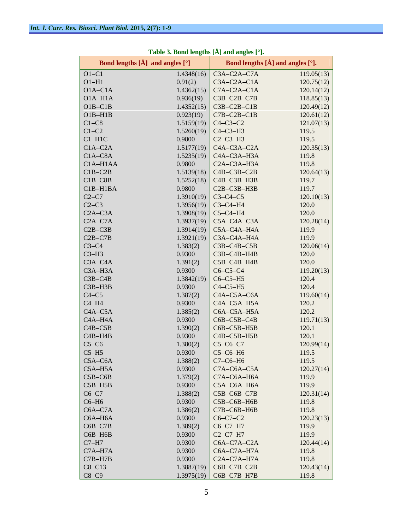|                                                                                                             | Table 5. Donu lengths [A] and angles [ ].    |                                                                 |                                                                           |
|-------------------------------------------------------------------------------------------------------------|----------------------------------------------|-----------------------------------------------------------------|---------------------------------------------------------------------------|
|                                                                                                             | <b>Bond lengths</b> $[\AA]$ and angles $[°]$ |                                                                 | <b>Bond lengths [<math>\AA</math>] and angles [<math>\degree</math>].</b> |
| $O1-C1$                                                                                                     |                                              | $1.4348(16)$ C3A-C2A-C7A                                        | 119.05(13)                                                                |
| $O1-H1$                                                                                                     | 0.91(2)                                      | $\vert$ C <sub>3</sub> A–C <sub>2</sub> A–C <sub>1</sub> A      | 120.75(12)                                                                |
| $O1A-C1A$                                                                                                   |                                              | $1.4362(15)$ C7A-C2A-C1A                                        | 120.14(12)                                                                |
| $O1A-H1A$                                                                                                   |                                              | $0.936(19)$ C <sub>3B</sub> -C <sub>2B</sub> -C <sub>7B</sub>   | 118.85(13)                                                                |
| $O1B-C1B$                                                                                                   |                                              | $1.4352(15)$ C <sub>3B</sub> -C <sub>2B</sub> -C <sub>1B</sub>  | 120.49(12)                                                                |
| $O1B-H1B$                                                                                                   |                                              | $0.923(19)$ C7B-C2B-C1B                                         | 120.61(12)                                                                |
| $C1-C8$                                                                                                     |                                              | 1.5159(19) $\boxed{C4-C3-C2}$                                   | 121.07(13)                                                                |
| $C1-C2$                                                                                                     |                                              | $1.5260(19)$ C4–C3–H3                                           | 119.5                                                                     |
| $C1-H1C$                                                                                                    | 0.9800                                       | $\vert$ C <sub>2</sub> -C <sub>3</sub> -H <sub>3</sub>          | 119.5                                                                     |
| $C1A-C2A$                                                                                                   |                                              | $1.5177(19)$ C4A-C3A-C2A                                        | 120.35(13)                                                                |
| $C1A-C8A$                                                                                                   |                                              | $1.5235(19)$ C <sub>4</sub> A–C <sub>3</sub> A–H <sub>3</sub> A | 119.8                                                                     |
| $C1A-H1AA$                                                                                                  | 0.9800                                       | $\vert$ C <sub>2</sub> A-C <sub>3</sub> A-H <sub>3</sub> A      | 119.8                                                                     |
| $C1B-C2B$                                                                                                   |                                              | $1.5139(18)$ C4B-C3B-C2B                                        | 120.64(13)                                                                |
| $C1B-C8B$                                                                                                   |                                              | $1.5252(18)$ C4B-C3B-H3B                                        | 119.7                                                                     |
| $C1B-H1BA$                                                                                                  | 0.9800                                       | $\overline{C2B-C3B-H3B}$                                        | 119.7                                                                     |
| $C2-C7$                                                                                                     |                                              | 1.3910(19) C3–C4–C5                                             | 120.10(13)                                                                |
| $C2-C3$                                                                                                     |                                              | $1.3956(19)$ C3-C4-H4                                           | 120.0                                                                     |
|                                                                                                             |                                              | 1.3908(19) C5-C4-H4                                             | 120.0                                                                     |
| C <sub>2</sub> A-C <sub>3</sub> A<br>C <sub>2</sub> A-C <sub>7</sub> A<br>C <sub>2</sub> B-C <sub>3</sub> B |                                              | $1.3937(19)$ C5A-C4A-C3A                                        | 120.28(14)                                                                |
|                                                                                                             |                                              | 1.3914(19) C5A–C4A–H4A                                          | 119.9                                                                     |
| $C2B-C7B$                                                                                                   |                                              | $1.3921(19)$ C3A-C4A-H4A                                        | 119.9                                                                     |
| $C3-C4$                                                                                                     | 1.383(2)                                     | $\vert$ C <sub>3</sub> B-C <sub>4</sub> B-C <sub>5</sub> B      | 120.06(14)                                                                |
| $C3-H3$                                                                                                     | 0.9300                                       | $\overline{C3B-C4B-H4B}$                                        | 120.0                                                                     |
|                                                                                                             | 1.391(2)                                     | $C5B-C4B-H4B$                                                   | 120.0                                                                     |
| C3A–C4A<br>C3A–H3A                                                                                          | 0.9300                                       | $\overline{C6-C5-C4}$                                           | 119.20(13)                                                                |
| $C3B-C4B$                                                                                                   | 1.3842(19)                                   | $\vert$ C6–C5–H5                                                | 120.4                                                                     |
| $C3B-H3B$                                                                                                   | 0.9300                                       | $C4-C5-H5$                                                      | 120.4                                                                     |
| $C4-C5$                                                                                                     | 1.387(2)                                     | $C4A-C5A-C6A$                                                   | 119.60(14)                                                                |
| $C4-H4$                                                                                                     | 0.9300                                       | C4A-C5A-H5A                                                     | 120.2                                                                     |
| $C4A-C5A$                                                                                                   | 1.385(2)                                     | $CGA-C5A-H5A$                                                   | 120.2                                                                     |
| $CAA-H4A$                                                                                                   | 0.9300                                       | $CGB-C5B-C4B$                                                   | 119.71(13)                                                                |
| $C4B-C5B$                                                                                                   | 1.390(2)                                     | $CGB-C5B-H5B$                                                   | 120.1                                                                     |
| $C4B-H4B$                                                                                                   | 0.9300                                       | $CB-C5B-H5B$                                                    | 120.1                                                                     |
| $C5-C6$                                                                                                     | 1.380(2)                                     | $\overline{C5-C6-C7}$                                           | 120.99(14)                                                                |
|                                                                                                             | 0.9300                                       |                                                                 | 119.5                                                                     |
| $C5-H5$<br>$C5A-C6A$                                                                                        | 1.388(2)                                     | $\overline{C5-C6-H6}$<br>$C7-C6-H6$                             | 119.5                                                                     |
|                                                                                                             |                                              |                                                                 |                                                                           |
| $CSA-H5A$                                                                                                   | 0.9300                                       | $\overline{C7A-C6A-C5A}$                                        | 120.27(14)                                                                |
| $C5B-C6B$                                                                                                   | 1.379(2)                                     | $\overline{C7A-C6A-H6A}$                                        | 119.9                                                                     |
| $C5B-H5B$                                                                                                   | 0.9300                                       | $CSA-C6A-H6A$                                                   | 119.9                                                                     |
| $C6-C7$                                                                                                     | 1.388(2)                                     | $\Big $ C5B-C6B-C7B                                             | 120.31(14)                                                                |
| $C6-H6$                                                                                                     | 0.9300                                       | $C5B-C6B-H6B$                                                   | 119.8                                                                     |
| $C6A-C7A$                                                                                                   | 1.386(2)                                     | $\overline{C7B-C6B-H6B}$                                        | 119.8                                                                     |
| $C6A-H6A$                                                                                                   | 0.9300                                       | $\vert$ C <sub>6</sub> -C <sub>7</sub> -C <sub>2</sub>          | 120.23(13)                                                                |
| $\overline{C6B-C7B}$                                                                                        | 1.389(2)                                     | $\overline{C6-C7-H7}$                                           | 119.9                                                                     |
| $\overline{C6B-H6B}$                                                                                        | 0.9300                                       | $\vert$ C <sub>2</sub> -C <sub>7</sub> -H <sub>7</sub>          | 119.9                                                                     |
| $C7-H7$                                                                                                     | 0.9300                                       | $\Big $ C6A–C7A–C2A                                             | 120.44(14)                                                                |
| $C7A-H7A$                                                                                                   | 0.9300                                       | $\overline{C6A-C7A-H7A}$                                        | 119.8                                                                     |
| $C7B-H7B$                                                                                                   | 0.9300                                       | $\overline{C2A-C7A-H7A}$                                        | 119.8                                                                     |
| $\vert$ C8–C13                                                                                              |                                              | $1.3887(19)$ C6B-C7B-C2B                                        | 120.43(14)                                                                |
| $C8-C9$                                                                                                     |                                              | $1.3975(19)$ C6B-C7B-H7B                                        | 119.8                                                                     |

### **Table 3. Bond lengths [Å] and angles [°].**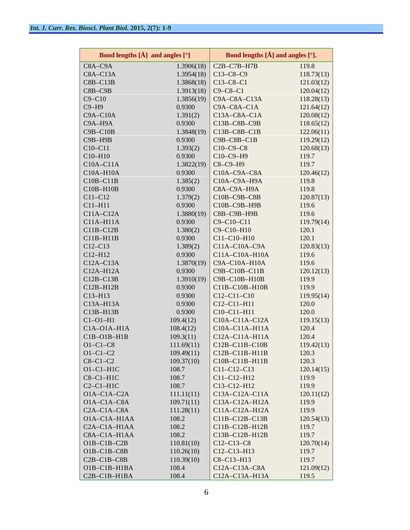| Bond lengths [Å] and angles [°]                                 |                       | Bond lengths $[\hat{A}]$ and angles $[°]$ .                    |            |
|-----------------------------------------------------------------|-----------------------|----------------------------------------------------------------|------------|
| $C8A-C9A$                                                       |                       | $1.3906(18)$ C <sub>2B</sub> -C <sub>7B</sub> -H <sub>7B</sub> | 119.8      |
| $C8A-C13A$                                                      |                       | 1.3954(18) $\vert$ C13–C8–C9                                   | 118.73(13) |
| $C8B-C13B$                                                      |                       | $1.3868(18)$ C13-C8-C1                                         | 121.03(12) |
| $C8B-C9B$                                                       | $1.3913(18)$ C9-C8-C1 |                                                                | 120.04(12) |
| $C9 - C10$                                                      |                       | $1.3856(19)$ C9A-C8A-C13A                                      | 118.28(13) |
| $C9-H9$                                                         | 0.9300                | $\big $ C9A–C8A–C1A                                            | 121.64(12) |
| $C9A-C10A$                                                      | 1.391(2)              | $\vert$ C <sub>13</sub> A-C <sub>8</sub> A-C <sub>1</sub> A    | 120.08(12) |
| $C9A-H9A$                                                       | 0.9300                | $\vert$ C <sub>13</sub> B-C <sub>8</sub> B-C <sub>9</sub> B    | 118.65(12) |
| $C9B-C10B$                                                      |                       | $1.3848(19)$ C13B-C8B-C1B                                      | 122.06(11) |
| $C9B-H9B$                                                       | 0.9300                | $C9B-C8B-C1B$                                                  | 119.29(12) |
| $C10-C11$                                                       | 1.393(2)              | $C10-C9-C8$                                                    | 120.68(13) |
| $C10-H10$                                                       | 0.9300                | $Cl0-C9-H9$                                                    | 119.7      |
| $C10A-C11A$                                                     | 1.3822(19)            | $\overline{C8-C9-H9}$                                          | 119.7      |
| $C10A-H10A$                                                     | 0.9300                | $\vert$ C <sub>10</sub> A-C <sub>9</sub> A-C <sub>8</sub> A    | 120.46(12) |
| $C10B - C11B$                                                   | 1.385(2)              | C10A-C9A-H9A                                                   | 119.8      |
| $C10B-H10B$                                                     | 0.9300                | C8A-C9A-H9A                                                    | 119.8      |
| $C11-C12$                                                       | 1.379(2)              | $C10B-C9B-C8B$                                                 | 120.87(13) |
| $C11-H11$                                                       | 0.9300                | C10B-C9B-H9B                                                   | 119.6      |
| $C11A-C12A$                                                     | 1.3880(19)            | $\overline{CB-C9B-H9B}$                                        | 119.6      |
| $C11A-H11A$                                                     | 0.9300                | $C9 - C10 - C11$                                               | 119.79(14) |
| $C11B-C12B$                                                     | 1.380(2)              | $C9 - C10 - H10$                                               | 120.1      |
| $C11B-H11B$                                                     | 0.9300                | $C11 - C10 - H10$                                              | 120.1      |
| $C12-C13$                                                       | 1.389(2)              | C11A-C10A-C9A                                                  | 120.83(13) |
| $C12-H12$                                                       | 0.9300                | C11A-C10A-H10A                                                 | 119.6      |
| $C12A-C13A$                                                     |                       | $1.3870(19)$ C9A-C10A-H10A                                     | 119.6      |
| $C12A-H12A$                                                     | 0.9300                | $\vert$ C9B-C10B-C11B                                          | 120.12(13) |
| $C12B-C13B$                                                     |                       | $1.3910(19)$ C9B-C10B-H10B                                     | 119.9      |
| $C12B-H12B$                                                     | 0.9300                | $\vert$ C <sub>11</sub> B-C <sub>10</sub> B-H <sub>10</sub> B  | 119.9      |
| $C13-H13$                                                       | 0.9300                | $Cl2-C11-C10$                                                  | 119.95(14) |
| C13A-H13A                                                       | 0.9300                | $ $ C <sub>12</sub> -C <sub>11</sub> -H <sub>11</sub>          | 120.0      |
| $C13B-H13B$                                                     | 0.9300                | $ $ C <sub>10</sub> -C <sub>11</sub> -H <sub>11</sub>          | 120.0      |
| $C1-O1-H1$                                                      | 109.4(12)             | $\vert$ C <sub>10</sub> A-C <sub>11</sub> A-C <sub>12</sub> A  | 119.15(13) |
| $C1A-O1A-H1A$                                                   | 108.4(12)             | C10A-C11A-H11A                                                 | 120.4      |
| $C1B-O1B-H1B$                                                   | 109.3(11)             | C12A-C11A-H11A                                                 | 120.4      |
| $O1-C1-C8$                                                      | 111.69(11)            | $Cl2B-Cl1B-Cl0B$                                               | 119.42(13) |
| $O1-C1-C2$                                                      | 109.49(11)            | $\vert$ C <sub>12</sub> B-C <sub>11</sub> B-H <sub>11</sub> B  | 120.3      |
| $C8-C1-C2$                                                      | 109.37(10)            | $ClOB - Cl1B - H11B$                                           | 120.3      |
| $O1 - C1 - H1C$                                                 | 108.7                 | C <sub>11</sub> -C <sub>12</sub> -C <sub>13</sub>              | 120.14(15) |
| $C8-C1-H1C$                                                     | 108.7                 | $ $ C <sub>11</sub> -C <sub>12</sub> -H <sub>12</sub>          | 119.9      |
| $C2-C1-H1C$                                                     | 108.7                 | $\vert$ C <sub>13</sub> -C <sub>12</sub> -H <sub>12</sub>      | 119.9      |
| O1A-C1A-C2A                                                     | 111.11(11)            | $\vert$ C <sub>13</sub> A-C <sub>12</sub> A-C <sub>11</sub> A  | 120.11(12) |
| O1A-C1A-C8A                                                     | 109.71(11)            | $\vert$ C <sub>13</sub> A-C <sub>12</sub> A-H <sub>12</sub> A  | 119.9      |
| C <sub>2</sub> A-C <sub>1</sub> A-C <sub>8</sub> A              | 111.28(11)            | C11A-C12A-H12A                                                 | 119.9      |
| O1A-C1A-H1AA                                                    | 108.2                 | C11B-C12B-C13B                                                 | 120.54(13) |
| C <sub>2</sub> A-C <sub>1</sub> A-H <sub>1</sub> A <sub>A</sub> | 108.2                 | C11B-C12B-H12B                                                 | 119.7      |
| C8A-C1A-H1AA                                                    | 108.2                 | C13B-C12B-H12B                                                 | 119.7      |
| $O1B-C1B-C2B$                                                   | 110.81(10)            | $C12-C13-C8$                                                   | 120.70(14) |
| $O1B-C1B-C8B$                                                   | 110.26(10)            | C12-C13-H13                                                    | 119.7      |
| $C2B-C1B-C8B$                                                   | 110.39(10)            | $\vert$ C <sub>8</sub> -C <sub>13</sub> -H <sub>13</sub>       | 119.7      |
| O1B-C1B-H1BA                                                    | 108.4                 | C12A-C13A-C8A                                                  | 121.09(12) |
| C <sub>2</sub> B-C <sub>1</sub> B-H <sub>1</sub> BA             | 108.4                 | C12A-C13A-H13A                                                 | 119.5      |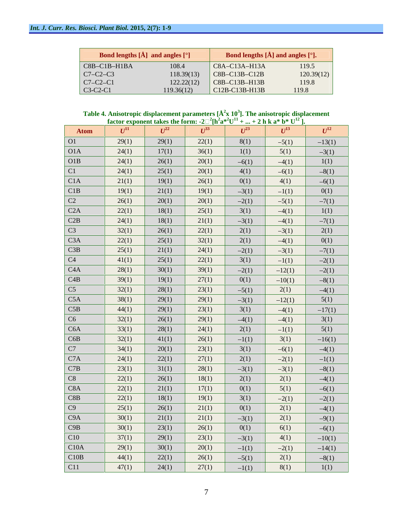| <b>Bond lengths</b> $[\AA]$ and angles $[°]$ |            | <b>Bond lengths [<math>\AA</math>] and angles [<math>\degree</math>].</b> |            |
|----------------------------------------------|------------|---------------------------------------------------------------------------|------------|
| $\overline{C8B-C1B-H1BA}$                    | 108.4      | $\vert$ C8A–C13A–H13A                                                     | 119.5      |
| $C7-C2-C3$                                   |            | $118.39(13)$ $\qquad \qquad \text{C8B-C13B-C12B}$                         | 120.39(12) |
| $C7-C2-C1$                                   |            | $122.22(12)$ $\overline{CB-C13B-H13B}$                                    | 119.8      |
| C3-C2-C1                                     | 119.36(12) | $Cl2B-C13B-H13B$                                                          | 119.8      |

**Table 4. Anisotropic displacement parameters [Å<sup>2</sup> x 10<sup>3</sup> ]. The anisotropic displacement factor exponent takes the form:**  $-2 \Box^2 [\mathbf{h}^2 \mathbf{a}^{*2} \mathbf{U}^{11} + ... + 2 \mathbf{h} \mathbf{k} \mathbf{a}^* \mathbf{b}^* \mathbf{U}^{12}]$ **.** 

|                  |          |          | <b>EXECUTE CAPUTE IT LATES THE FULLII.</b> $2 \Box$ <b>I</b> H $\alpha$ $\vee$ $\alpha$ $\vee$ $\alpha$ $\vee$ $\alpha$ $\vee$ $\alpha$ |                    |          |          |
|------------------|----------|----------|-----------------------------------------------------------------------------------------------------------------------------------------|--------------------|----------|----------|
| <b>Atom</b>      | $U^{11}$ | $U^{22}$ | $U^{33}$                                                                                                                                | $I^{\frac{23}{2}}$ | $U^{13}$ | $U^{12}$ |
| O1               | 29(1)    | 29(1)    | 22(1)                                                                                                                                   | 8(1)               | $-5(1)$  | $-13(1)$ |
| O1A              | 24(1)    | 17(1)    | 36(1)                                                                                                                                   | 1(1)               | 5(1)     | $-3(1)$  |
| O1B              | 24(1)    | 26(1)    | 20(1)                                                                                                                                   | $-6(1)$            | $-4(1)$  | 1(1)     |
| C1               | 24(1)    | 25(1)    | 20(1)                                                                                                                                   | 4(1)               | $-6(1)$  | $-8(1)$  |
| CLA              | 21(1)    | 19(1)    | 26(1)                                                                                                                                   | 0(1)               | 4(1)     | $-6(1)$  |
| CLB              | 19(1)    | 21(1)    | 19(1)                                                                                                                                   | $-3(1)$            | $-1(1)$  | 0(1)     |
| C2               | 26(1)    | 20(1)    | 20(1)                                                                                                                                   | $-2(1)$            | $-5(1)$  | $-7(1)$  |
| C2A              | 22(1)    | 18(1)    | 25(1)                                                                                                                                   | 3(1)               | $-4(1)$  | 1(1)     |
| C2B              | 24(1)    | 18(1)    | 21(1)                                                                                                                                   | $-3(1)$            | $-4(1)$  | $-7(1)$  |
| $\overline{C}$ 3 | 32(1)    | 26(1)    | 22(1)                                                                                                                                   | 2(1)               | $-3(1)$  | 2(1)     |
| C3A              | 22(1)    | 25(1)    | 32(1)                                                                                                                                   | 2(1)               | $-4(1)$  | 0(1)     |
| C3B              | 25(1)    | 21(1)    | 24(1)                                                                                                                                   | $-2(1)$            | $-3(1)$  | $-7(1)$  |
| C4               | 41(1)    | 25(1)    | 22(1)                                                                                                                                   | 3(1)               | $-1(1)$  | $-2(1)$  |
| C4A              | 28(1)    | 30(1)    | 39(1)                                                                                                                                   | $-2(1)$            | $-12(1)$ | $-2(1)$  |
| $\overline{C4B}$ | 39(1)    | 19(1)    | 27(1)                                                                                                                                   | 0(1)               | $-10(1)$ | $-8(1)$  |
| C5               | 32(1)    | 28(1)    | 23(1)                                                                                                                                   | $-5(1)$            | 2(1)     | $-4(1)$  |
| C5A              | 38(1)    | 29(1)    | 29(1)                                                                                                                                   | $-3(1)$            | $-12(1)$ | 5(1)     |
| C5B              | 44(1)    | 29(1)    | 23(1)                                                                                                                                   | 3(1)               | $-4(1)$  | $-17(1)$ |
| $\overline{C6}$  | 32(1)    | 26(1)    | 29(1)                                                                                                                                   | $-4(1)$            | $-4(1)$  | 3(1)     |
| C6A              | 33(1)    | 28(1)    | 24(1)                                                                                                                                   | 2(1)               | $-1(1)$  | 5(1)     |
| CGB              | 32(1)    | 41(1)    | 26(1)                                                                                                                                   | $-1(1)$            | 3(1)     | $-16(1)$ |
| C7               | 34(1)    | 20(1)    | 23(1)                                                                                                                                   | 3(1)               | $-6(1)$  | $-4(1)$  |
| C7A              | 24(1)    | 22(1)    | 27(1)                                                                                                                                   | 2(1)               | $-2(1)$  | $-1(1)$  |
| C7B              | 23(1)    | 31(1)    | 28(1)                                                                                                                                   | $-3(1)$            | $-3(1)$  | $-8(1)$  |
| $\overline{C8}$  | 22(1)    | 26(1)    | 18(1)                                                                                                                                   | 2(1)               | 2(1)     | $-4(1)$  |
| C8A              | 22(1)    | 21(1)    | 17(1)                                                                                                                                   | 0(1)               | 5(1)     | $-6(1)$  |
| $\overline{C8B}$ | 22(1)    | 18(1)    | 19(1)                                                                                                                                   | 3(1)               | $-2(1)$  | $-2(1)$  |
| $\overline{C9}$  | 25(1)    | 26(1)    | 21(1)                                                                                                                                   | 0(1)               | 2(1)     | $-4(1)$  |
| C9A              | 30(1)    | 21(1)    | 21(1)                                                                                                                                   | $-3(1)$            | 2(1)     | $-9(1)$  |
| C9B              | 30(1)    | 23(1)    | 26(1)                                                                                                                                   | 0(1)               | 6(1)     | $-6(1)$  |
| CI0              | 37(1)    | 29(1)    | 23(1)                                                                                                                                   | $-3(1)$            | 4(1)     | $-10(1)$ |
| CI0A             | 29(1)    | 30(1)    | 20(1)                                                                                                                                   | $-1(1)$            | $-2(1)$  | $-14(1)$ |
| CIOB             | 44(1)    | 22(1)    | 26(1)                                                                                                                                   | $-5(1)$            | 2(1)     | $-8(1)$  |
| CI1              | 47(1)    | 24(1)    | 27(1)                                                                                                                                   | $-1(1)$            | 8(1)     | 1(1)     |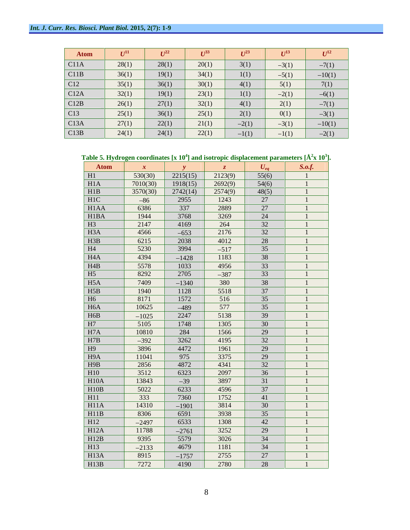| Atom                     | T11   |       |       |                     |         |          |
|--------------------------|-------|-------|-------|---------------------|---------|----------|
| CI1A                     | 28(1) | 28(1) | 20(1) | 3(1)<br>J(1)        | $-3(1)$ | $-7(1)$  |
| _____<br>CI1B            | 36(1) | 19(1) | 34(1) | 1(1)                | $-5(1)$ | $-10(1)$ |
| C12                      | 35(1) | 36(1) | 30(1) | 4(1)                | 5(1)    | 7(1)     |
| CI2A                     | 32(1) | 19(1) | 23(1) | 1(1)                | $-2(1)$ | $-6(1)$  |
| _____<br>CI2B            | 26(1) | 27(1) | 32(1) | 4(1)                | 2(1)    | $-7(1)$  |
| $\overline{C13}$         | 25(1) | 36(1) | 25(1) | 2(1)<br>$\angle(1)$ | 0(1)    | $-3(1)$  |
| CI3A                     | 27(1) | 22(1) | 21(1) | $-2(1)$             | $-3(1)$ | $-10(1)$ |
| $\overline{\text{C13B}}$ | 24(1) | 24(1) | 22(1) | $-1(1)$             | $-1(1)$ | $-2(1)$  |

### Table 5. Hydrogen coordinates [x  $10^4$ ] and isotropic displacement parameters [ $\rm \AA^2$ x  $10^3$ ]. **x 10<sup>3</sup> ].**

| <b>Atom</b>                               | $\mathbf{x}$ |          |         | $U_{ea}$ | S.o.f.          |
|-------------------------------------------|--------------|----------|---------|----------|-----------------|
| H1                                        | 530(30)      | 2215(15) | 2123(9) | 55(6)    |                 |
| H <sub>1</sub> A                          | 7010(30)     | 1918(15) | 2692(9) | 54(6)    | $\overline{1}$  |
| H <sub>1B</sub>                           | 3570(30)     | 2742(14) | 2574(9) | 48(5)    | $\sim$ 1        |
| H <sub>1C</sub>                           | $-86$        | 2955     | 1243    | 27       | $\frac{1}{2}$   |
| H <sub>1</sub> AA                         | 6386         | 337      | 2889    | 27       | $\sim$ 1        |
| H <sub>1</sub> BA                         | 1944         | 3768     | 3269    | 24       | $\sim$ 1        |
| H3                                        | 2147         | 4169     | 264     | 32       | $\sim$ 1        |
| H <sub>3</sub> A                          | 4566         | $-653$   | 2176    | 32       | $\overline{1}$  |
| H <sub>3</sub> B                          | 6215         | 2038     | 4012    | 28       | $\overline{1}$  |
| H4                                        | 5230         | 3994     | $-517$  | 35       | $\overline{1}$  |
| H <sub>4</sub> A                          | 4394         | $-1428$  | 1183    | 38       | $\vert 1 \vert$ |
| H <sub>4B</sub>                           | 5578         | 1033     | 4956    | 33       | $\sim$ 1        |
| $\overline{H5}$                           | 8292         | 2705     | $-387$  | 33       |                 |
| <b>H5A</b>                                | 7409         | $-1340$  | 380     | 38       | $\overline{1}$  |
| H <sub>5</sub> B                          | 1940         | 1128     | 5518    | 37       |                 |
| H6                                        | 8171         | 1572     | 516     | 35       | $\overline{1}$  |
| H <sub>6</sub> A                          | 10625        | $-489$   | 577     | 35       |                 |
|                                           | $-1025$      | 2247     | 5138    | 39       |                 |
| $\frac{\overline{\text{H6B}}}{\text{H7}}$ | 5105         | 1748     | 1305    | 30       | $\overline{1}$  |
| H <sub>7A</sub>                           | 10810        | 284      | 1566    | 29       | $\overline{1}$  |
| H <sub>7B</sub>                           | $-392$       | 3262     | 4195    | 32       |                 |
| H9                                        | 3896         | 4472     | 1961    | 29       | $\blacksquare$  |
| H <sub>9</sub> A                          | 11041        | 975      | 3375    | 29       | $\overline{1}$  |
|                                           | 2856         | 4872     | 4341    | 32       |                 |
| $\frac{\overline{H9B}}{\overline{H10}}$   | 3512         | 6323     | 2097    | 36       | $\blacksquare$  |
| <b>H10A</b>                               | 13843        | $-39$    | 3897    | 31       | $\overline{1}$  |
| H <sub>10</sub> B                         | 5022         | 6233     | 4596    | 37       |                 |
| H11                                       | 333          | 7360     | 1752    | 41       |                 |
| H <sub>11</sub> A                         | 14310        | $-1901$  | 3814    | 30       |                 |
| H <sub>11B</sub>                          | 8306         | 6591     | 3938    | 35       |                 |
| H <sub>12</sub>                           | $-2497$      | 6533     | 1308    | 42       |                 |
| H12A                                      | 11788        | $-2761$  | 3252    | 29       | $\Box$          |
| H12B                                      | 9395         | 5579     | 3026    | 34       |                 |
| H13                                       | $-2133$      | 4679     | 1181    | 34       | $\overline{1}$  |
| H <sub>13</sub> A                         | 8915         | $-1757$  | 2755    | 27       |                 |
| H13B                                      |              |          |         |          |                 |
|                                           | 7272         | 4190     | 2780    | 28       |                 |